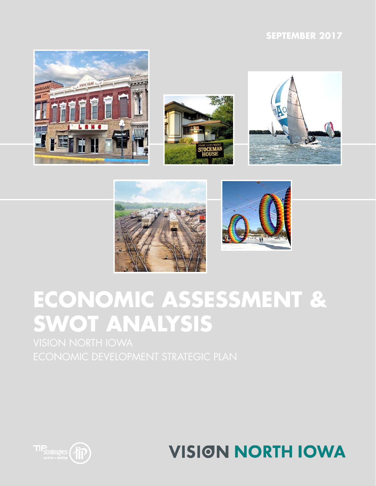## **SEPTEMBER 2017**









# **ECONOMIC ASSESSMENT & SWOT ANALYSIS**



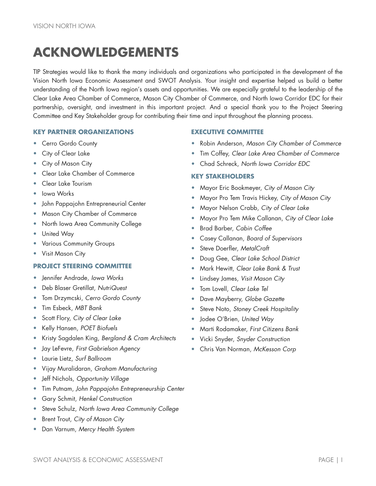## **ACKNOWLEDGEMENTS**

TIP Strategies would like to thank the many individuals and organizations who participated in the development of the Vision North Iowa Economic Assessment and SWOT Analysis. Your insight and expertise helped us build a better understanding of the North Iowa region's assets and opportunities. We are especially grateful to the leadership of the Clear Lake Area Chamber of Commerce, Mason City Chamber of Commerce, and North Iowa Corridor EDC for their partnership, oversight, and investment in this important project. And a special thank you to the Project Steering Committee and Key Stakeholder group for contributing their time and input throughout the planning process.

#### **KEY PARTNER ORGANIZATIONS EXECUTIVE COMMITTEE**

- Cerro Gordo County
- City of Clear Lake
- City of Mason City
- Clear Lake Chamber of Commerce
- Clear Lake Tourism
- Iowa Works
- John Pappajohn Entrepreneurial Center
- Mason City Chamber of Commerce
- North Iowa Area Community College
- United Way
- Various Community Groups
- Visit Mason City

#### **PROJECT STEERING COMMITTEE**

- Jennifer Andrade, *Iowa Works*
- Deb Blaser Gretillat, *NutriQuest*
- Tom Drzymcski, *Cerro Gordo County*
- Tim Esbeck, *MBT Bank*
- Scott Flory, *City of Clear Lake*
- Kelly Hansen, *POET Biofuels*
- Kristy Sagdalen King, *Bergland & Cram Architects*
- Jay LeFevre, *First Gabrielson Agency*
- Laurie Lietz, *Surf Ballroom*
- Vijay Muralidaran, *Graham Manufacturing*
- Jeff Nichols, *Opportunity Village*
- Tim Putnam, *John Pappajohn Entrepreneurship Center*
- Gary Schmit, *Henkel Construction*
- Steve Schulz, *North Iowa Area Community College*
- Brent Trout, *City of Mason City*
- Dan Varnum, *Mercy Health System*

- Robin Anderson, *Mason City Chamber of Commerce*
- Tim Coffey, *Clear Lake Area Chamber of Commerce*
- Chad Schreck, *North Iowa Corridor EDC*

#### **KEY STAKEHOLDERS**

- Mayor Eric Bookmeyer, *City of Mason City*
- Mayor Pro Tem Travis Hickey, *City of Mason City*
- Mayor Nelson Crabb, *City of Clear Lake*
- Mayor Pro Tem Mike Callanan, *City of Clear Lake*
- Brad Barber, *Cabin Coffee*
- Casey Callanan, *Board of Supervisors*
- Steve Doerfler, *MetalCraft*
- Doug Gee, *Clear Lake School District*
- Mark Hewitt, *Clear Lake Bank & Trust*
- Lindsey James, *Visit Mason City*
- Tom Lovell, *Clear Lake Tel*
- Dave Mayberry, *Globe Gazette*
- Steve Noto, *Stoney Creek Hospitality*
- Jodee O'Brien, *United Way*
- Marti Rodamaker, *First Citizens Bank*
- Vicki Snyder, *Snyder Construction*
- Chris Van Norman, *McKesson Corp*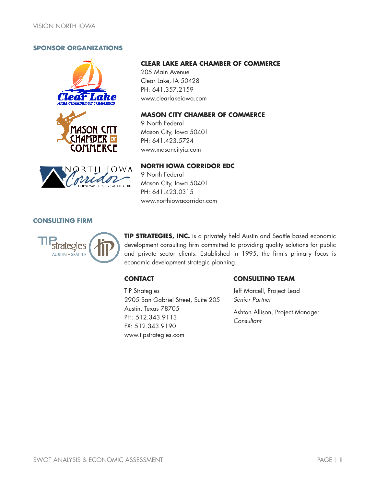#### **SPONSOR ORGANIZATIONS**







#### **CLEAR LAKE AREA CHAMBER OF COMMERCE**

205 Main Avenue Clear Lake, IA 50428 PH: 641.357.2159 www.clearlakeiowa.com

#### **MASON CITY CHAMBER OF COMMERCE**

9 North Federal Mason City, Iowa 50401 PH: 641.423.5724 www.masoncityia.com

#### **NORTH IOWA CORRIDOR EDC**

9 North Federal Mason City, Iowa 50401 PH: 641.423.0315 www.northiowacorridor.com

#### **CONSULTING FIRM**



**TIP STRATEGIES, INC.** is a privately held Austin and Seattle based economic development consulting firm committed to providing quality solutions for public and private sector clients. Established in 1995, the firm's primary focus is economic development strategic planning.

#### **CONTACT**

#### **CONSULTING TEAM**

TIP Strategies 2905 San Gabriel Street, Suite 205 Austin, Texas 78705 PH: 512.343.9113 FX: 512.343.9190 www.tipstrategies.com

### Jeff Marcell, Project Lead *Senior Partner*

Ashton Allison, Project Manager *Consultant*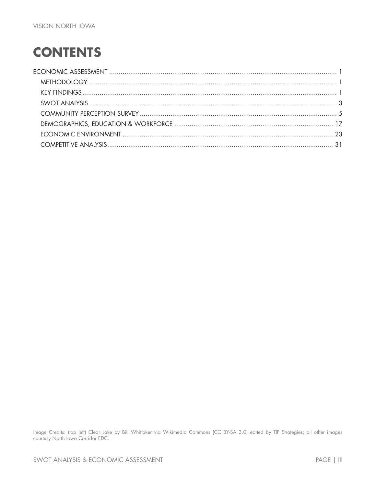## **CONTENTS**

Image Credits: (top left) Clear Lake by Bill Whittaker via Wikimedia Commons (CC BY-SA 3.0) edited by TIP Strategies; all other images courtesy North Iowa Corridor EDC.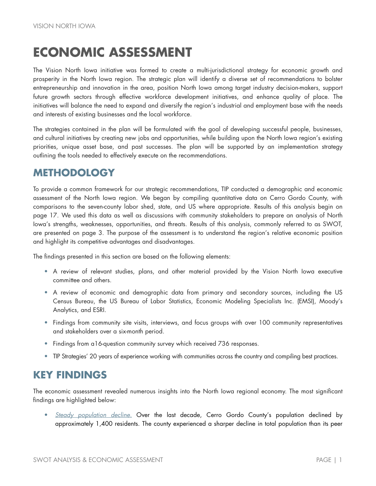## <span id="page-4-0"></span>**ECONOMIC ASSESSMENT**

The Vision North Iowa initiative was formed to create a multi-jurisdictional strategy for economic growth and prosperity in the North Iowa region. The strategic plan will identify a diverse set of recommendations to bolster entrepreneurship and innovation in the area, position North Iowa among target industry decision-makers, support future growth sectors through effective workforce development initiatives, and enhance quality of place. The initiatives will balance the need to expand and diversify the region's industrial and employment base with the needs and interests of existing businesses and the local workforce.

The strategies contained in the plan will be formulated with the goal of developing successful people, businesses, and cultural initiatives by creating new jobs and opportunities, while building upon the North Iowa region's existing priorities, unique asset base, and past successes. The plan will be supported by an implementation strategy outlining the tools needed to effectively execute on the recommendations.

## <span id="page-4-1"></span>**METHODOLOGY**

To provide a common framework for our strategic recommendations, TIP conducted a demographic and economic assessment of the North Iowa region. We began by compiling quantitative data on Cerro Gordo County, with comparisons to the seven-county labor shed, state, and US where appropriate. Results of this analysis begin on page [17.](#page-20-0) We used this data as well as discussions with community stakeholders to prepare an analysis of North Iowa's strengths, weaknesses, opportunities, and threats. Results of this analysis, commonly referred to as SWOT, are presented on page [3.](#page-6-0) The purpose of the assessment is to understand the region's relative economic position and highlight its competitive advantages and disadvantages.

The findings presented in this section are based on the following elements:

- A review of relevant studies, plans, and other material provided by the Vision North Iowa executive committee and others.
- A review of economic and demographic data from primary and secondary sources, including the US Census Bureau, the US Bureau of Labor Statistics, Economic Modeling Specialists Inc. (EMSI), Moody's Analytics, and ESRI.
- Findings from community site visits, interviews, and focus groups with over 100 community representatives and stakeholders over a six-month period.
- Findings from a16-question community survey which received 736 responses.
- TIP Strategies' 20 years of experience working with communities across the country and compiling best practices.

## <span id="page-4-2"></span>**KEY FINDINGS**

The economic assessment revealed numerous insights into the North Iowa regional economy. The most significant findings are highlighted below:

• *Steady population decline.* Over the last decade, Cerro Gordo County's population declined by approximately 1,400 residents. The county experienced a sharper decline in total population than its peer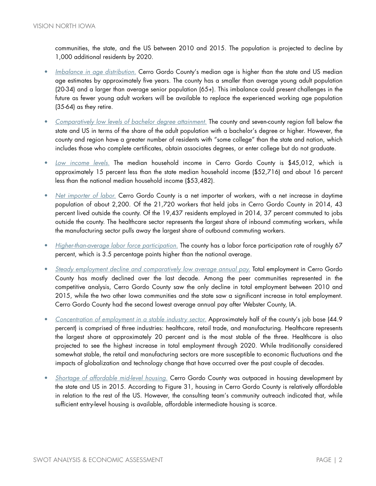communities, the state, and the US between 2010 and 2015. The population is projected to decline by 1,000 additional residents by 2020.

- *Imbalance in age distribution.* Cerro Gordo County's median age is higher than the state and US median age estimates by approximately five years. The county has a smaller than average young adult population (20-34) and a larger than average senior population (65+). This imbalance could present challenges in the future as fewer young adult workers will be available to replace the experienced working age population (35-64) as they retire.
- *Comparatively low levels of bachelor degree attainment.* The county and seven-county region fall below the state and US in terms of the share of the adult population with a bachelor's degree or higher. However, the county and region have a greater number of residents with "some college" than the state and nation, which includes those who complete certificates, obtain associates degrees, or enter college but do not graduate.
- *Low income levels.* The median household income in Cerro Gordo County is \$45,012, which is approximately 15 percent less than the state median household income (\$52,716) and about 16 percent less than the national median household income (\$53,482).
- *Net importer of labor.* Cerro Gordo County is a net importer of workers, with a net increase in daytime population of about 2,200. Of the 21,720 workers that held jobs in Cerro Gordo County in 2014, 43 percent lived outside the county. Of the 19,437 residents employed in 2014, 37 percent commuted to jobs outside the county. The healthcare sector represents the largest share of inbound commuting workers, while the manufacturing sector pulls away the largest share of outbound commuting workers.
- *Higher-than-average labor force participation.* The county has a labor force participation rate of roughly 67 percent, which is 3.5 percentage points higher than the national average.
- *Steady employment decline and comparatively low average annual pay.* Total employment in Cerro Gordo County has mostly declined over the last decade. Among the peer communities represented in the competitive analysis, Cerro Gordo County saw the only decline in total employment between 2010 and 2015, while the two other Iowa communities and the state saw a significant increase in total employment. Cerro Gordo County had the second lowest average annual pay after Webster County, IA.
- *Concentration of employment in a stable industry sector.* Approximately half of the county's job base (44.9 percent) is comprised of three industries: healthcare, retail trade, and manufacturing. Healthcare represents the largest share at approximately 20 percent and is the most stable of the three. Healthcare is also projected to see the highest increase in total employment through 2020. While traditionally considered somewhat stable, the retail and manufacturing sectors are more susceptible to economic fluctuations and the impacts of globalization and technology change that have occurred over the past couple of decades.
- *Shortage of affordable mid-level housing.* Cerro Gordo County was outpaced in housing development by the state and US in 2015. According to Figure 31, housing in Cerro Gordo County is relatively affordable in relation to the rest of the US. However, the consulting team's community outreach indicated that, while sufficient entry-level housing is available, affordable intermediate housing is scarce.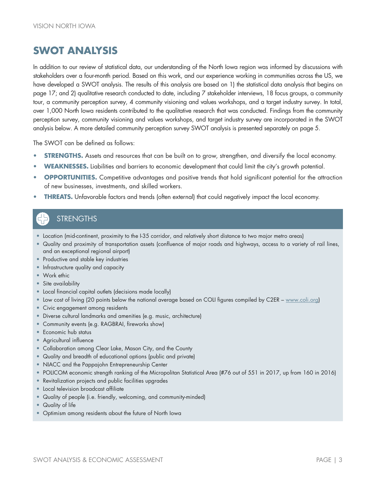## <span id="page-6-0"></span>**SWOT ANALYSIS**

In addition to our review of statistical data, our understanding of the North Iowa region was informed by discussions with stakeholders over a four-month period. Based on this work, and our experience working in communities across the US, we have developed a SWOT analysis. The results of this analysis are based on 1) the statistical data analysis that begins on page [17;](#page-20-0) and 2) qualitative research conducted to date, including 7 stakeholder interviews, 18 focus groups, a community tour, a community perception survey, 4 community visioning and values workshops, and a target industry survey. In total, over 1,000 North Iowa residents contributed to the qualitative research that was conducted. Findings from the community perception survey, community visioning and values workshops, and target industry survey are incorporated in the SWOT analysis below. A more detailed community perception survey SWOT analysis is presented separately on page [5.](#page-8-0)

The SWOT can be defined as follows:

- **STRENGTHS.** Assets and resources that can be built on to grow, strengthen, and diversify the local economy.
- **WEAKNESSES.** Liabilities and barriers to economic development that could limit the city's growth potential.
- **OPPORTUNITIES.** Competitive advantages and positive trends that hold significant potential for the attraction of new businesses, investments, and skilled workers.
- **THREATS.** Unfavorable factors and trends (often external) that could negatively impact the local economy.

## **STRENGTHS**

- Location (mid-continent, proximity to the I-35 corridor, and relatively short distance to two major metro areas)
- Quality and proximity of transportation assets (confluence of major roads and highways, access to a variety of rail lines, and an exceptional regional airport)
- Productive and stable key industries
- Infrastructure quality and capacity
- Work ethic
- Site availability
- Local financial capital outlets (decisions made locally)
- Low cost of living (20 points below the national average based on COLI figures compiled by C2ER [www.coli.org\)](http://www.coli.org/)
- Civic engagement among residents
- Diverse cultural landmarks and amenities (e.g. music, architecture)
- Community events (e.g. RAGBRAI, fireworks show)
- Economic hub status
- Agricultural influence
- Collaboration among Clear Lake, Mason City, and the County
- Quality and breadth of educational options (public and private)
- NIACC and the Pappajohn Entrepreneurship Center
- POLICOM economic strength ranking of the Micropolitan Statistical Area (#76 out of 551 in 2017, up from 160 in 2016)
- Revitalization projects and public facilities upgrades
- Local television broadcast affiliate
- Quality of people (i.e. friendly, welcoming, and community-minded)
- Quality of life
- Optimism among residents about the future of North Iowa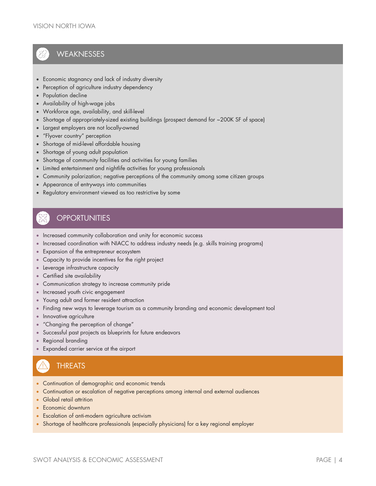## **WEAKNESSES**

- Economic stagnancy and lack of industry diversity
- Perception of agriculture industry dependency
- Population decline
- Availability of high-wage jobs
- Workforce age, availability, and skill-level
- Shortage of appropriately-sized existing buildings (prospect demand for ~200K SF of space)
- Largest employers are not locally-owned
- "Flyover country" perception
- Shortage of mid-level affordable housing
- Shortage of young adult population
- Shortage of community facilities and activities for young families
- Limited entertainment and nightlife activities for young professionals
- Community polarization; negative perceptions of the community among some citizen groups
- Appearance of entryways into communities
- Regulatory environment viewed as too restrictive by some

### **OPPORTUNITIES**

- Increased community collaboration and unity for economic success
- Increased coordination with NIACC to address industry needs (e.g. skills training programs)
- Expansion of the entrepreneur ecosystem
- Capacity to provide incentives for the right project
- Leverage infrastructure capacity
- Certified site availability
- Communication strategy to increase community pride
- Increased youth civic engagement
- Young adult and former resident attraction
- Finding new ways to leverage tourism as a community branding and economic development tool
- Innovative agriculture
- "Changing the perception of change"
- Successful past projects as blueprints for future endeavors
- Regional branding
- Expanded carrier service at the airport

## **THREATS**

- Continuation of demographic and economic trends
- Continuation or escalation of negative perceptions among internal and external audiences
- Global retail attrition
- Economic downturn
- Escalation of anti-modern agriculture activism
- Shortage of healthcare professionals (especially physicians) for a key regional employer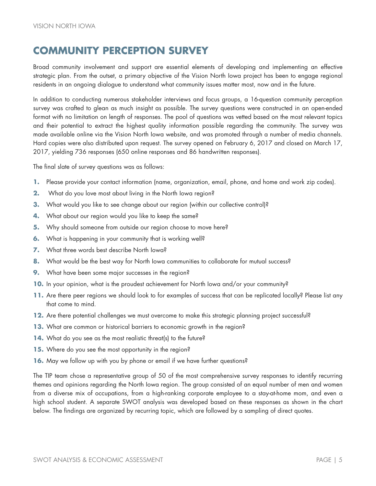## <span id="page-8-0"></span>**COMMUNITY PERCEPTION SURVEY**

Broad community involvement and support are essential elements of developing and implementing an effective strategic plan. From the outset, a primary objective of the Vision North Iowa project has been to engage regional residents in an ongoing dialogue to understand what community issues matter most, now and in the future.

In addition to conducting numerous stakeholder interviews and focus groups, a 16-question community perception survey was crafted to glean as much insight as possible. The survey questions were constructed in an open-ended format with no limitation on length of responses. The pool of questions was vetted based on the most relevant topics and their potential to extract the highest quality information possible regarding the community. The survey was made available online via the Vision North Iowa website, and was promoted through a number of media channels. Hard copies were also distributed upon request. The survey opened on February 6, 2017 and closed on March 17, 2017, yielding 736 responses (650 online responses and 86 handwritten responses).

The final slate of survey questions was as follows:

- **1.** Please provide your contact information (name, organization, email, phone, and home and work zip codes).
- **2.** What do you love most about living in the North Iowa region?
- **3.** What would you like to see change about our region (within our collective control)?
- **4.** What about our region would you like to keep the same?
- **5.** Why should someone from outside our region choose to move here?
- **6.** What is happening in your community that is working well?
- **7.** What three words best describe North Iowa?
- 8. What would be the best way for North Iowa communities to collaborate for mutual success?
- **9.** What have been some major successes in the region?
- **10.** In your opinion, what is the proudest achievement for North Iowa and/or your community?
- **11.** Are there peer regions we should look to for examples of success that can be replicated locally? Please list any that come to mind.
- **12.** Are there potential challenges we must overcome to make this strategic planning project successful?
- **13.** What are common or historical barriers to economic growth in the region?
- 14. What do you see as the most realistic threat(s) to the future?
- **15.** Where do you see the most opportunity in the region?
- **16.** May we follow up with you by phone or email if we have further questions?

The TIP team chose a representative group of 50 of the most comprehensive survey responses to identify recurring themes and opinions regarding the North Iowa region. The group consisted of an equal number of men and women from a diverse mix of occupations, from a high-ranking corporate employee to a stay-at-home mom, and even a high school student. A separate SWOT analysis was developed based on these responses as shown in the chart below. The findings are organized by recurring topic, which are followed by a sampling of direct quotes.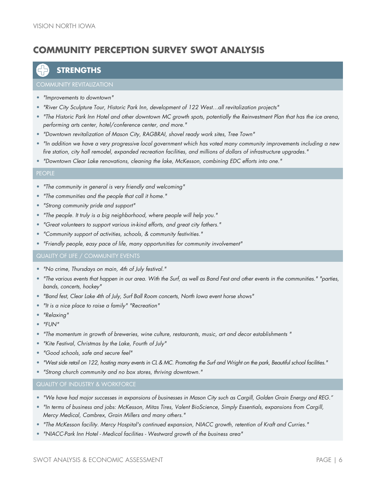## **COMMUNITY PERCEPTION SURVEY SWOT ANALYSIS**

### **STRENGTHS**

- *"Improvements to downtown"*
- *"River City Sculpture Tour, Historic Park Inn, development of 122 West…all revitalization projects"*
- *"The Historic Park Inn Hotel and other downtown MC growth spots, potentially the Reinvestment Plan that has the ice arena, performing arts center, hotel/conference center, and more."*
- *"Downtown revitalization of Mason City, RAGBRAI, shovel ready work sites, Tree Town"*
- *"In addition we have a very progressive local government which has voted many community improvements including a new fire station, city hall remodel, expanded recreation facilities, and millions of dollars of infrastructure upgrades."*
- *"Downtown Clear Lake renovations, cleaning the lake, McKesson, combining EDC efforts into one."*

#### PEOPLE

- *"The community in general is very friendly and welcoming"*
- *"The communities and the people that call it home."*
- *"Strong community pride and support"*
- *"The people. It truly is a big neighborhood, where people will help you."*
- *"Great volunteers to support various in-kind efforts, and great city fathers."*
- *"Community support of activities, schools, & community festivities."*
- *"Friendly people, easy pace of life, many opportunities for community involvement"*

- *"No crime, Thursdays on main, 4th of July festival."*
- *"The various events that happen in our area. With the Surf, as well as Band Fest and other events in the communities." "parties, bands, concerts, hockey"*
- *"Band fest, Clear Lake 4th of July, Surf Ball Room concerts, North Iowa event horse shows"*
- *"It is a nice place to raise a family" "Recreation"*
- *"Relaxing"*
- *"FUN"*
- *"The momentum in growth of breweries, wine culture, restaurants, music, art and decor establishments "*
- *"Kite Festival, Christmas by the Lake, Fourth of July"*
- *"Good schools, safe and secure feel"*
- *"West side retail on 122, hosting many events in CL & MC. Promoting the Surf and Wright on the park, Beautiful school facilities."*
- *"Strong church community and no box stores, thriving downtown."*

QUALITY OF INDUSTRY & WORKFORCE

- *"We have had major successes in expansions of businesses in Mason City such as Cargill, Golden Grain Energy and REG."*
- *"In terms of business and jobs: McKesson, Mitas Tires, Valent BioScience, Simply Essentials, expansions from Cargill, Mercy Medical, Cambrex, Grain Millers and many others."*
- *"The McKesson facility. Mercy Hospital's continued expansion, NIACC growth, retention of Kraft and Curries."*
- *"NIACC-Park Inn Hotel - Medical facilities - Westward growth of the business area"*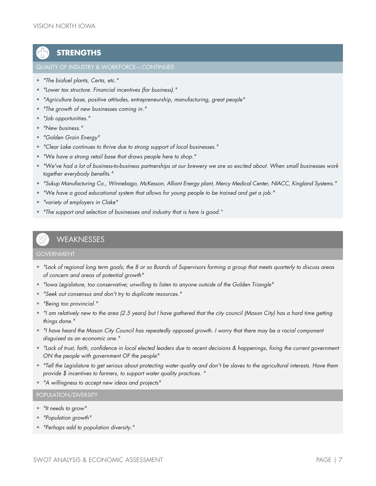## **STRENGTHS**

#### QUALITY OF INDUSTRY & WORKFORCE—*CONTINUED*

- *"The biofuel plants, Certa, etc."*
- *"Lower tax structure. Financial incentives (for business)."*
- *"Agriculture base, positive attitudes, entrepreneurship, manufacturing, great people"*
- *"The growth of new businesses coming in."*
- *"Job opportunities."*
- *"New business."*
- *"Golden Grain Energy"*
- *"Clear Lake continues to thrive due to strong support of local businesses."*
- *"We have a strong retail base that draws people here to shop."*
- *"We've had a lot of business-to-business partnerships at our brewery we are so excited about. When small businesses work together everybody benefits."*
- *"Sukup Manufacturing Co., Winnebago, McKesson, Alliant Energy plant, Mercy Medical Center, NIACC, Kingland Systems."*
- *"We have a good educational system that allows for young people to be trained and get a job."*
- *"variety of employers in Clake"*
- *"The support and selection of businesses and industry that is here is good."*

### **WEAKNESSES**

#### GOVERNMENT

- *"Lack of regional long term goals; the 8 or so Boards of Supervisors forming a group that meets quarterly to discuss areas of concern and areas of potential growth"*
- *"Iowa Legislature, too conservative; unwilling to listen to anyone outside of the Golden Triangle"*
- *"Seek out consensus and don't try to duplicate resources."*
- *"Being too provincial."*
- *"I am relatively new to the area (2.5 years) but I have gathered that the city council (Mason City) has a hard time getting things done."*
- *"I have heard the Mason City Council has repeatedly opposed growth. I worry that there may be a racial component disguised as an economic one."*
- *"Lack of trust, faith, confidence in local elected leaders due to recent decisions & happenings, fixing the current government ON the people with government OF the people"*
- *"Tell the Legislature to get serious about protecting water quality and don't be slaves to the agricultural interests. Have them provide \$ incentives to farmers, to support water quality practices. "*
- *"A willingness to accept new ideas and projects"*

#### POPULATION/DIVERSITY

- *"It needs to grow"*
- *"Population growth"*
- *"Perhaps add to population diversity."*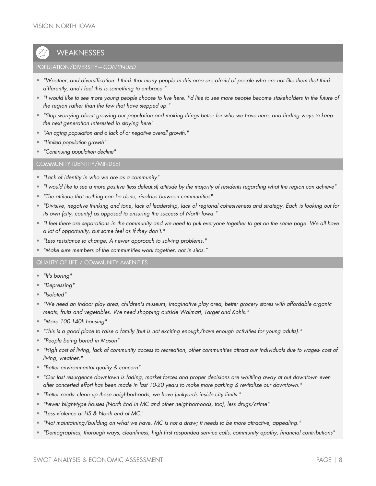## **WEAKNESSES**

#### POPULATION/DIVERSITY—*CONTINUED*

- *"Weather, and diversification. I think that many people in this area are afraid of people who are not like them that think differently, and I feel this is something to embrace."*
- *"I would like to see more young people choose to live here. I'd like to see more people become stakeholders in the future of the region rather than the few that have stepped up."*
- *"Stop worrying about growing our population and making things better for who we have here, and finding ways to keep the next generation interested in staying here"*
- *"An aging population and a lack of or negative overall growth."*
- *"Limited population growth"*
- *"Continuing population decline"*

#### COMMUNITY IDENTITY/MINDSET

- *"Lack of identity in who we are as a community"*
- *"I would like to see a more positive (less defeatist) attitude by the majority of residents regarding what the region can achieve"*
- *"The attitude that nothing can be done, rivalries between communities"*
- *"Divisive, negative thinking and tone, lack of leadership, lack of regional cohesiveness and strategy. Each is looking out for its own (city, county) as opposed to ensuring the success of North Iowa."*
- *"I feel there are separations in the community and we need to pull everyone together to get on the same page. We all have a lot of opportunity, but some feel as if they don't."*
- *"Less resistance to change. A newer approach to solving problems."*
- *"Make sure members of the communities work together, not in silos."*

#### QUALITY OF LIFE / COMMUNITY AMENITIES

- *"It's boring"*
- *"Depressing"*
- *"Isolated"*
- *"We need an indoor play area, children's museum, imaginative play area, better grocery stores with affordable organic meats, fruits and vegetables. We need shopping outside Walmart, Target and Kohls."*
- *"More 100-140k housing"*
- *"This is a good place to raise a family (but is not exciting enough/have enough activities for young adults)."*
- *"People being bored in Mason"*
- *"High cost of living, lack of community access to recreation, other communities attract our individuals due to wages- cost of living, weather."*
- *"Better environmental quality & concern"*
- *"Our last resurgence downtown is fading, market forces and proper decisions are whittling away at out downtown even after concerted effort has been made in last 10-20 years to make more parking & revitalize our downtown."*
- *"Better roads- clean up these neighborhoods, we have junkyards inside city limits "*
- *"Fewer blight-type houses (North End in MC and other neighborhoods, too), less drugs/crime"*
- *"Less violence at HS & North end of MC.'*
- *"Not maintaining/building on what we have. MC is not a draw; it needs to be more attractive, appealing."*
- *"Demographics, thorough ways, cleanliness, high first responded service calls, community apathy, financial contributions"*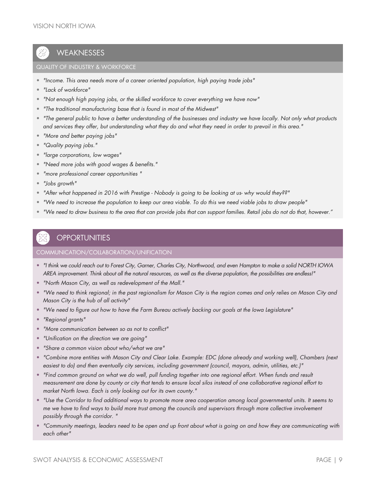## **WEAKNESSES**

#### QUALITY OF INDUSTRY & WORKFORCE

- *"Income. This area needs more of a career oriented population, high paying trade jobs"*
- *"Lack of workforce"*
- *"Not enough high paying jobs, or the skilled workforce to cover everything we have now"*
- *"The traditional manufacturing base that is found in most of the Midwest"*
- *"The general public to have a better understanding of the businesses and industry we have locally. Not only what products and services they offer, but understanding what they do and what they need in order to prevail in this area."*
- *"More and better paying jobs"*
- *"Quality paying jobs."*
- *"large corporations, low wages"*
- *"Need more jobs with good wages & benefits."*
- *"more professional career opportunities "*
- *"Jobs growth"*
- *"After what happened in 2016 with Prestige - Nobody is going to be looking at us- why would they??"*
- *"We need to increase the population to keep our area viable. To do this we need viable jobs to draw people"*
- *"We need to draw business to the area that can provide jobs that can support families. Retail jobs do not do that, however."*

#### **OPPORTUNITIES**

#### COMMUNICATION/COLLABORATION/UNIFICATION

- *"I think we could reach out to Forest City, Garner, Charles City, Northwood, and even Hampton to make a solid NORTH IOWA AREA improvement. Think about all the natural resources, as well as the diverse population, the possibilities are endless!"*
- *"North Mason City, as well as redevelopment of the Mall."*
- *"We need to think regional; in the past regionalism for Mason City is the region comes and only relies on Mason City and Mason City is the hub of all activity"*
- *"We need to figure out how to have the Farm Bureau actively backing our goals at the Iowa Legislature"*
- *"Regional grants"*
- *"More communication between so as not to conflict"*
- *"Unification on the direction we are going"*
- *"Share a common vision about who/what we are"*
- *"Combine more entities with Mason City and Clear Lake. Example: EDC (done already and working well), Chambers (next easiest to do) and then eventually city services, including government (council, mayors, admin, utilities, etc.)"*
- *"Find common ground on what we do well, pull funding together into one regional effort. When funds and result measurement are done by county or city that tends to ensure local silos instead of one collaborative regional effort to market North Iowa. Each is only looking out for its own county."*
- *"Use the Corridor to find additional ways to promote more area cooperation among local governmental units. It seems to me we have to find ways to build more trust among the councils and supervisors through more collective involvement possibly through the corridor. "*
- *"Community meetings, leaders need to be open and up front about what is going on and how they are communicating with each other"*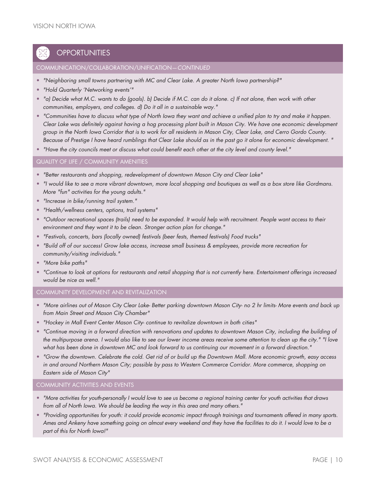## **OPPORTUNITIES**

#### COMMUNICATION/COLLABORATION/UNIFICATION—*CONTINUED*

- *"Neighboring small towns partnering with MC and Clear Lake. A greater North Iowa partnership?"*
- *"Hold Quarterly 'Networking events'"*
- *"a) Decide what M.C. wants to do (goals). b) Decide if M.C. can do it alone. c) If not alone, then work with other communities, employers, and colleges. d) Do it all in a sustainable way."*
- *"Communities have to discuss what type of North Iowa they want and achieve a unified plan to try and make it happen. Clear Lake was definitely against having a hog processing plant built in Mason City. We have one economic development group in the North Iowa Corridor that is to work for all residents in Mason City, Clear Lake, and Cerro Gordo County. Because of Prestige I have heard rumblings that Clear Lake should as in the past go it alone for economic development. "*
- *"Have the city councils meet or discuss what could benefit each other at the city level and county level."*

#### QUALITY OF LIFE / COMMUNITY AMENITIES

- *"Better restaurants and shopping, redevelopment of downtown Mason City and Clear Lake"*
- *"I would like to see a more vibrant downtown, more local shopping and boutiques as well as a box store like Gordmans. More "fun" activities for the young adults."*
- *"Increase in bike/running trail system."*
- *"Health/wellness centers, options, trail systems"*
- *"Outdoor recreational spaces (trails) need to be expanded. It would help with recruitment. People want access to their environment and they want it to be clean. Stronger action plan for change."*
- *"Festivals, concerts, bars (locally owned) festivals (beer fests, themed festivals) Food trucks"*
- *"Build off of our success! Grow lake access, increase small business & employees, provide more recreation for community/visiting individuals."*
- *"More bike paths"*
- *"Continue to look at options for restaurants and retail shopping that is not currently here. Entertainment offerings increased would be nice as well."*

#### COMMUNITY DEVELOPMENT AND REVITALIZATION

- *"More airlines out of Mason City Clear Lake- Better parking downtown Mason City- no 2 hr limits- More events and back up from Main Street and Mason City Chamber"*
- *"Hockey in Mall Event Center Mason City- continue to revitalize downtown in both cities"*
- *"Continue moving in a forward direction with renovations and updates to downtown Mason City, including the building of the multipurpose arena. I would also like to see our lower income areas receive some attention to clean up the city." "I love what has been done in downtown MC and look forward to us continuing our movement in a forward direction."*
- *"Grow the downtown. Celebrate the cold. Get rid of or build up the Downtown Mall. More economic growth, easy access in and around Northern Mason City; possible by pass to Western Commerce Corridor. More commerce, shopping on Eastern side of Mason City"*

#### COMMUNITY ACTIVITIES AND EVENTS

- *"More activities for youth-personally I would love to see us become a regional training center for youth activities that draws from all of North Iowa. We should be leading the way in this area and many others."*
- *"Providing opportunities for youth: it could provide economic impact through trainings and tournaments offered in many sports. Ames and Ankeny have something going on almost every weekend and they have the facilities to do it. I would love to be a part of this for North Iowa!"*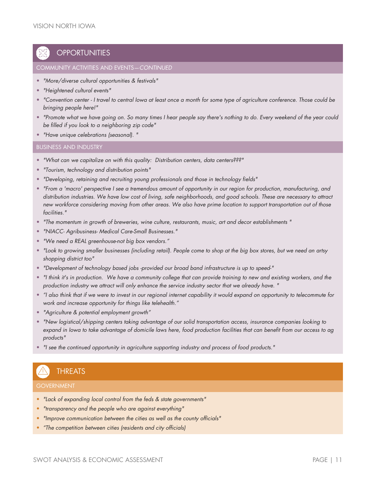## **OPPORTUNITIES**

#### COMMUNITY ACTIVITIES AND EVENTS—*CONTINUED*

- *"More/diverse cultural opportunities & festivals"*
- *"Heightened cultural events"*
- *"Convention center - I travel to central Iowa at least once a month for some type of agriculture conference. Those could be bringing people here!"*
- *"Promote what we have going on. So many times I hear people say there's nothing to do. Every weekend of the year could be filled if you look to a neighboring zip code"*
- *"Have unique celebrations (seasonal). "*

#### BUSINESS AND INDUSTRY

- *"What can we capitalize on with this quality: Distribution centers, data centers???"*
- *"Tourism, technology and distribution points"*
- *"Developing, retaining and recruiting young professionals and those in technology fields"*
- *"From a 'macro' perspective I see a tremendous amount of opportunity in our region for production, manufacturing, and distribution industries. We have low cost of living, safe neighborhoods, and good schools. These are necessary to attract new workforce considering moving from other areas. We also have prime location to support transportation out of those facilities."*
- *"The momentum in growth of breweries, wine culture, restaurants, music, art and decor establishments "*
- *"NIACC- Agribusiness- Medical Care-Small Businesses."*
- *"We need a REAL greenhouse-not big box vendors."*
- *"Look to growing smaller businesses (including retail). People come to shop at the big box stores, but we need an artsy shopping district too"*
- *"Development of technology based jobs -provided our broad band infrastructure is up to speed-"*
- *"I think it's in production. We have a community college that can provide training to new and existing workers, and the production industry we attract will only enhance the service industry sector that we already have. "*
- *"I also think that if we were to invest in our regional internet capability it would expand on opportunity to telecommute for work and increase opportunity for things like telehealth."*
- *"Agriculture & potential employment growth"*
- *"New logistical/shipping centers taking advantage of our solid transportation access, insurance companies looking to expand in Iowa to take advantage of domicile laws here, food production facilities that can benefit from our access to ag products"*
- *"I see the continued opportunity in agriculture supporting industry and process of food products."*

## THREATS

#### **GOVERNMENT**

- *"Lack of expanding local control from the feds & state governments"*
- *"transparency and the people who are against everything"*
- *"Improve communication between the cities as well as the county officials"*
- *"The competition between cities (residents and city officials)*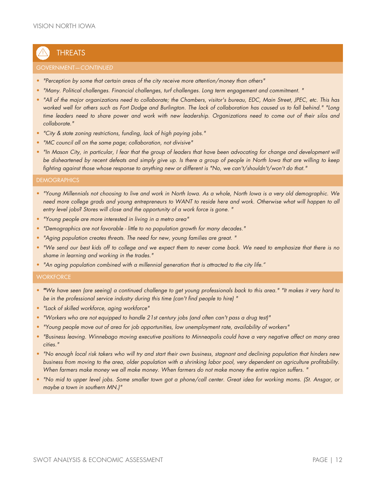## **THREATS**

#### GOVERNMENT—*CONTINUED*

- *"Perception by some that certain areas of the city receive more attention/money than others"*
- *"Many. Political challenges. Financial challenges, turf challenges. Long term engagement and commitment. "*
- *"All of the major organizations need to collaborate; the Chambers, visitor's bureau, EDC, Main Street, JPEC, etc. This has worked well for others such as Fort Dodge and Burlington. The lack of collaboration has caused us to fall behind." "Long time leaders need to share power and work with new leadership. Organizations need to come out of their silos and collaborate."*
- *"City & state zoning restrictions, funding, lack of high paying jobs."*
- *"MC council all on the same page; collaboration, not divisive"*
- *"In Mason City, in particular, I fear that the group of leaders that have been advocating for change and development will be disheartened by recent defeats and simply give up. Is there a group of people in North Iowa that are willing to keep fighting against those whose response to anything new or different is "No, we can't/shouldn't/won't do that."*

#### **DEMOGRAPHICS**

- *"Young Millennials not choosing to live and work in North Iowa. As a whole, North Iowa is a very old demographic. We need more college grads and young entrepreneurs to WANT to reside here and work. Otherwise what will happen to all entry level jobs? Stores will close and the opportunity of a work force is gone. "*
- *"Young people are more interested in living in a metro area"*
- *"Demographics are not favorable - little to no population growth for many decades."*
- *"Aging population creates threats. The need for new, young families are great. "*
- *"We send our best kids off to college and we expect them to never come back. We need to emphasize that there is no shame in learning and working in the trades."*
- *"An aging population combined with a millennial generation that is attracted to the city life."*

#### **WORKFORCE**

- *"We have seen (are seeing) a continued challenge to get young professionals back to this area." "It makes it very hard to be in the professional service industry during this time (can't find people to hire) "*
- *"Lack of skilled workforce, aging workforce"*
- *"Workers who are not equipped to handle 21st century jobs (and often can't pass a drug test)"*
- *"Young people move out of area for job opportunities, low unemployment rate, availability of workers"*
- *"Business leaving. Winnebago moving executive positions to Minneapolis could have a very negative affect on many area cities."*
- *"No enough local risk takers who will try and start their own business, stagnant and declining population that hinders new business from moving to the area, older population with a shrinking labor pool, very dependent on agriculture profitability. When farmers make money we all make money. When farmers do not make money the entire region suffers. "*
- *"No mid to upper level jobs. Some smaller town got a phone/call center. Great idea for working moms. (St. Ansgar, or maybe a town in southern MN.)"*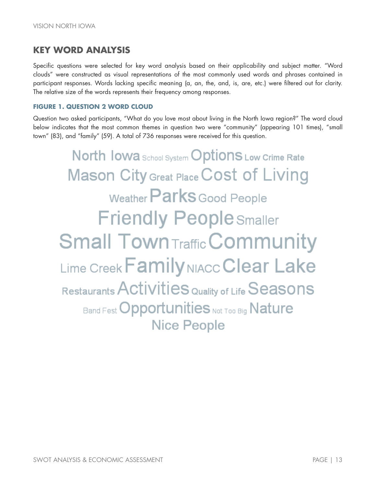## **KEY WORD ANALYSIS**

Specific questions were selected for key word analysis based on their applicability and subject matter. "Word clouds" were constructed as visual representations of the most commonly used words and phrases contained in participant responses. Words lacking specific meaning (a, an, the, and, is, are, etc.) were filtered out for clarity. The relative size of the words represents their frequency among responses.

#### **FIGURE 1. QUESTION 2 WORD CLOUD**

Question two asked participants, "What do you love most about living in the North Iowa region?" The word cloud below indicates that the most common themes in question two were "community" (appearing 101 times), "small town" (83), and "family" (59). A total of 736 responses were received for this question.

**North lowa** School System **OptionS** Low Crime Rate **Mason City Great Place Cost of Living** Weather Parks Good People **Friendly People Smaller Small Town Traffic Community Lime Creek Family NIACC Clear Lake** Restaurants Activities Quality of Life Seasons **Band Fest Opportunities Not Too Big Nature Nice People**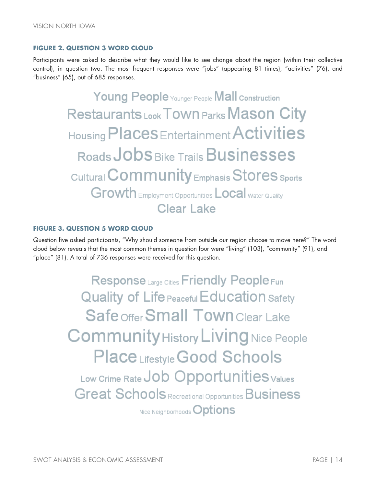#### **FIGURE 2. QUESTION 3 WORD CLOUD**

Participants were asked to describe what they would like to see change about the region (within their collective control), in question two. The most frequent responses were "jobs" (appearing 81 times), "activities" (76), and "business" (65), out of 685 responses.

> Young People Younger People Mall Construction Restaurants Look Town Parks Mason City Housing Places Entertainment Activities Roads JODS Bike Trails Businesses Cultural **Community** Emphasis Stores sports **Growth** Employment Opportunities **Local** Water Quality Clear Lake

#### **FIGURE 3. QUESTION 5 WORD CLOUD**

Question five asked participants, "Why should someone from outside our region choose to move here?" The word cloud below reveals that the most common themes in question four were "living" (103), "community" (91), and "place" (81). A total of 736 responses were received for this question.

> Response Large Cities Friendly People Fun **Quality of Life Peaceful Education Safety** Safe offer Small Town Clear Lake **Community History Living Nice People Place Lifestyle Good Schools** Low Crime Rate Job Opportunities Values **Great Schools Recreational Opportunities Business** Nice Neighborhoods Options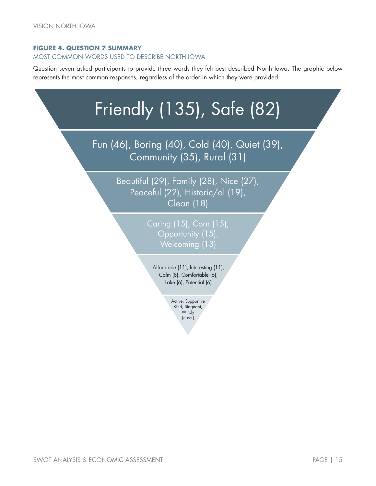#### **FIGURE 4. QUESTION 7 SUMMARY**

#### MOST COMMON WORDS USED TO DESCRIBE NORTH IOWA

Question seven asked participants to provide three words they felt best described North Iowa. The graphic below represents the most common responses, regardless of the order in which they were provided.

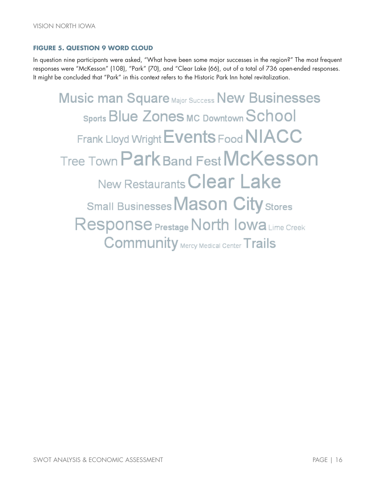#### **FIGURE 5. QUESTION 9 WORD CLOUD**

In question nine participants were asked, "What have been some major successes in the region?" The most frequent responses were "McKesson" (108), "Park" (70), and "Clear Lake (66), out of a total of 736 open-ended responses. It might be concluded that "Park" in this context refers to the Historic Park Inn hotel revitalization.

**Music man Square Major Success New Businesses** Sports Blue Zones Mc Downtown School Frank Lloyd Wright Events Food NIACC Tree Town Park Band Fest McKesson New Restaurants Clear Lake Small Businesses Mason City stores Response Prestage North Iowa Lime Creek **Community** Mercy Medical Center Trails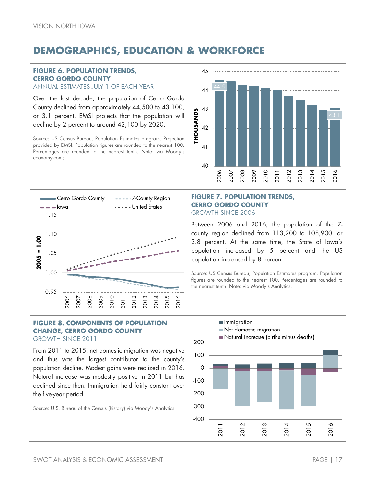## <span id="page-20-0"></span>**DEMOGRAPHICS, EDUCATION & WORKFORCE**

#### **FIGURE 6. POPULATION TRENDS, CERRO GORDO COUNTY** ANNUAL ESTIMATES JULY 1 OF EACH YEAR

Over the last decade, the population of Cerro Gordo County declined from approximately 44,500 to 43,100, or 3.1 percent. EMSI projects that the population will decline by 2 percent to around 42,100 by 2020.

Source: US Census Bureau, Population Estimates program. Projection provided by EMSI. Population figures are rounded to the nearest 100. Percentages are rounded to the nearest tenth. Note: via Moody's economy.com;





#### **FIGURE 8. COMPONENTS OF POPULATION CHANGE, CERRO GORDO COUNTY** GROWTH SINCE 2011

From 2011 to 2015, net domestic migration was negative and thus was the largest contributor to the county's population decline. Modest gains were realized in 2016. Natural increase was modestly positive in 2011 but has declined since then. Immigration held fairly constant over

Source: U.S. Bureau of the Census (history) via Moody's Analytics.

the five-year period.

#### **FIGURE 7. POPULATION TRENDS, CERRO GORDO COUNTY** GROWTH SINCE 2006

Between 2006 and 2016, the population of the 7 county region declined from 113,200 to 108,900, or 3.8 percent. At the same time, the State of Iowa's population increased by 5 percent and the US population increased by 8 percent.

Source: US Census Bureau, Population Estimates program. Population figures are rounded to the nearest 100. Percentages are rounded to the nearest tenth. Note: via Moody's Analytics.

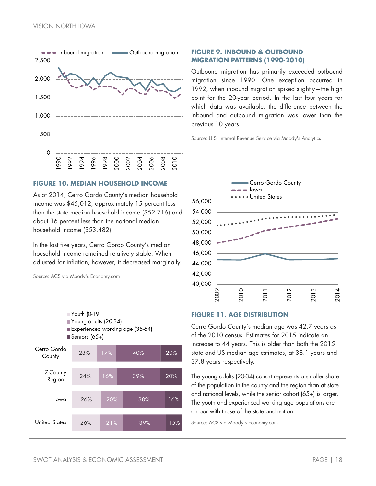

#### **FIGURE 9. INBOUND & OUTBOUND MIGRATION PATTERNS (1990-2010)**

Outbound migration has primarily exceeded outbound migration since 1990. One exception occurred in 1992, when inbound migration spiked slightly—the high point for the 20-year period. In the last four years for which data was available, the difference between the inbound and outbound migration was lower than the previous 10 years.

Source: U.S. Internal Revenue Service via Moody's Analytics

#### **FIGURE 10. MEDIAN HOUSEHOLD INCOME**

As of 2014, Cerro Gordo County's median household income was \$45,012, approximately 15 percent less than the state median household income (\$52,716) and about 16 percent less than the national median household income (\$53,482).

In the last five years, Cerro Gordo County's median household income remained relatively stable. When adjusted for inflation, however, it decreased marginally.

Source: ACS via Moody's Economy.com

Youth (0-19)

Young adults (20-34)



#### **FIGURE 11. AGE DISTRIBUTION**

Cerro Gordo County's median age was 42.7 years as of the 2010 census. Estimates for 2015 indicate an increase to 44 years. This is older than both the 2015 state and US median age estimates, at 38.1 years and 37.8 years respectively.

The young adults (20-34) cohort represents a smaller share of the population in the county and the region than at state and national levels, while the senior cohort (65+) is larger. The youth and experienced working age populations are on par with those of the state and nation.

Source: ACS via Moody's Economy.com

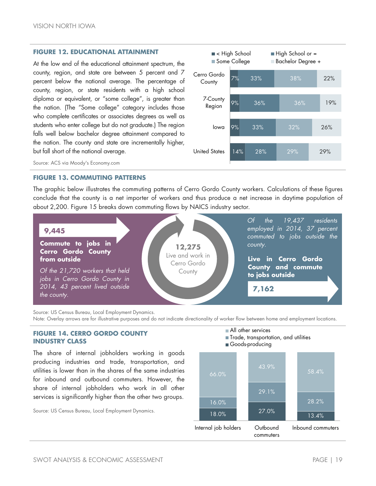#### **FIGURE 12. EDUCATIONAL ATTAINMENT**

At the low end of the educational attainment spectrum, the county, region, and state are between 5 percent and 7 percent below the national average. The percentage of county, region, or state residents with a high school diploma or equivalent, or "some college", is greater than the nation. (The "Some college" category includes those who complete certificates or associates degrees as well as students who enter college but do not graduate.) The region falls well below bachelor degree attainment compared to the nation. The county and state are incrementally higher, but fall short of the national average.



Source: ACS via Moody's Economy.com

#### **FIGURE 13. COMMUTING PATTERNS**

The graphic below illustrates the commuting patterns of Cerro Gordo County workers. Calculations of these figures conclude that the county is a net importer of workers and thus produce a net increase in daytime population of about 2,200. [Figure 15](#page-23-0) breaks down commuting flows by NAICS industry sector.



Source: US Census Bureau, Local Employment Dynamics.

Note: Overlay arrows are for illustrative purposes and do not indicate directionality of worker flow between home and employment locations.

#### **FIGURE 14. CERRO GORDO COUNTY INDUSTRY CLASS**

The share of internal jobholders working in goods producing industries and trade, transportation, and utilities is lower than in the shares of the same industries for inbound and outbound commuters. However, the share of internal jobholders who work in all other services is significantly higher than the other two groups.

Source: US Census Bureau, Local Employment Dynamics.

#### All other services

- Trade, transportation, and utilities
- Goods-producing

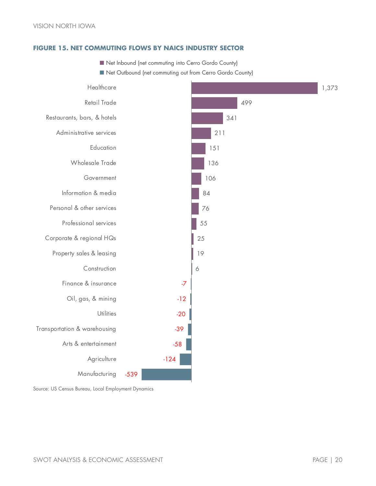#### <span id="page-23-0"></span>**FIGURE 15. NET COMMUTING FLOWS BY NAICS INDUSTRY SECTOR**

- $\blacksquare$  Net Inbound (net commuting into Cerro Gordo County)
- Net Outbound (net commuting out from Cerro Gordo County)



Source: US Census Bureau, Local Employment Dynamics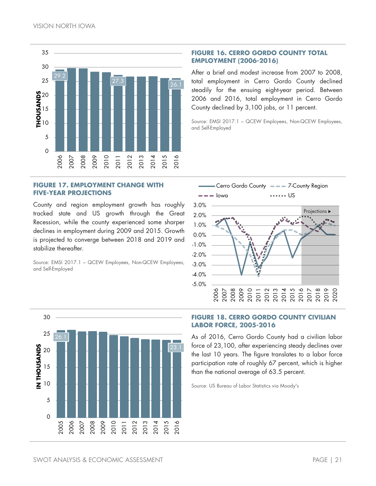

#### **FIGURE 17. EMPLOYMENT CHANGE WITH FIVE-YEAR PROJECTIONS**

County and region employment growth has roughly tracked state and US growth through the Great Recession, while the county experienced some sharper declines in employment during 2009 and 2015. Growth is projected to converge between 2018 and 2019 and stabilize thereafter.

Source: EMSI 2017.1 – QCEW Employees, Non-QCEW Employees, and Self-Employed

#### **FIGURE 16. CERRO GORDO COUNTY TOTAL EMPLOYMENT (2006-2016)**

After a brief and modest increase from 2007 to 2008, total employment in Cerro Gordo County declined steadily for the ensuing eight-year period. Between 2006 and 2016, total employment in Cerro Gordo County declined by 3,100 jobs, or 11 percent.

Source: EMSI 2017.1 – QCEW Employees, Non-QCEW Employees, and Self-Employed





#### **FIGURE 18. CERRO GORDO COUNTY CIVILIAN LABOR FORCE, 2005-2016**

As of 2016, Cerro Gordo County had a civilian labor force of 23,100, after experiencing steady declines over the last 10 years. The figure translates to a labor force participation rate of roughly 67 percent, which is higher than the national average of 63.5 percent.

Source: US Bureau of Labor Statistics via Moody's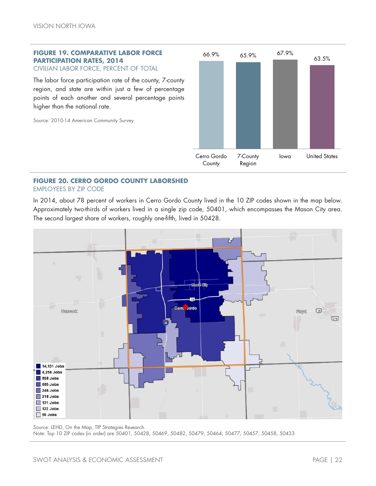#### **FIGURE 19. COMPARATIVE LABOR FORCE PARTICIPATION RATES, 2014** CIVILIAN LABOR FORCE, PERCENT OF TOTAL

The labor force participation rate of the county, 7-county region, and state are within just a few of percentage points of each another and several percentage points higher than the national rate.

Source: 2010-14 American Community Survey.



#### **FIGURE 20. CERRO GORDO COUNTY LABORSHED** EMPLOYEES BY ZIP CODE

In 2014, about 78 percent of workers in Cerro Gordo County lived in the 10 ZIP codes shown in the map below. Approximately two-thirds of workers lived in a single zip code, 50401, which encompasses the Mason City area. The second largest share of workers, roughly one-fifth, lived in 50428.



Source: LEHD, On the Map, TIP Strategies Research. Note: Top 10 ZIP codes (in order) are 50401, 50428, 50469, 50482, 50479, 50464, 50477, 50457, 50458, 50433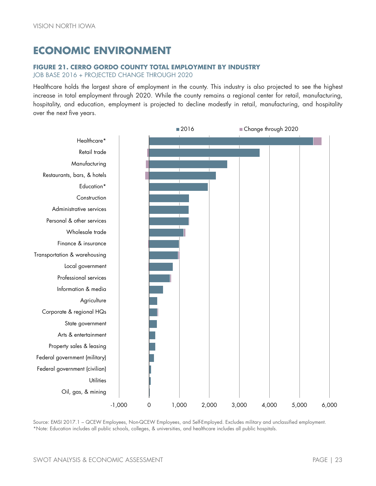## <span id="page-26-0"></span>**ECONOMIC ENVIRONMENT**

#### **FIGURE 21. CERRO GORDO COUNTY TOTAL EMPLOYMENT BY INDUSTRY**

JOB BASE 2016 + PROJECTED CHANGE THROUGH 2020

Healthcare holds the largest share of employment in the county. This industry is also projected to see the highest increase in total employment through 2020. While the county remains a regional center for retail, manufacturing, hospitality, and education, employment is projected to decline modestly in retail, manufacturing, and hospitality over the next five years.



Source: EMSI 2017.1 – QCEW Employees, Non-QCEW Employees, and Self-Employed. Excludes military and unclassified employment. \*Note: Education includes all public schools, colleges, & universities, and healthcare includes all public hospitals.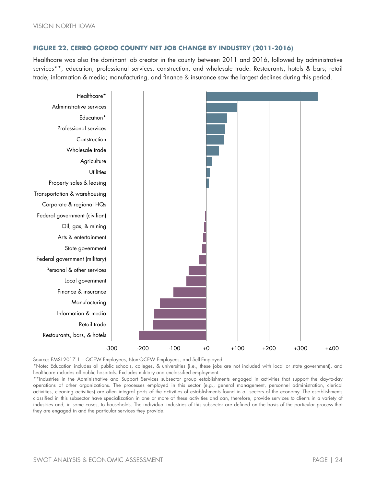#### **FIGURE 22. CERRO GORDO COUNTY NET JOB CHANGE BY INDUSTRY (2011-2016)**

Healthcare was also the dominant job creator in the county between 2011 and 2016, followed by administrative services\*\*, education, professional services, construction, and wholesale trade. Restaurants, hotels & bars; retail trade; information & media; manufacturing, and finance & insurance saw the largest declines during this period.



Source: EMSI 2017.1 – QCEW Employees, Non-QCEW Employees, and Self-Employed.

\*Note: Education includes all public schools, colleges, & universities (i.e., these jobs are not included with local or state government), and healthcare includes all public hospitals. Excludes military and unclassified employment.

\*\*Industries in the Administrative and Support Services subsector group establishments engaged in activities that support the day-to-day operations of other organizations. The processes employed in this sector (e.g., general management, personnel administration, clerical activities, cleaning activities) are often integral parts of the activities of establishments found in all sectors of the economy. The establishments classified in this subsector have specialization in one or more of these activities and can, therefore, provide services to clients in a variety of industries and, in some cases, to households. The individual industries of this subsector are defined on the basis of the particular process that they are engaged in and the particular services they provide.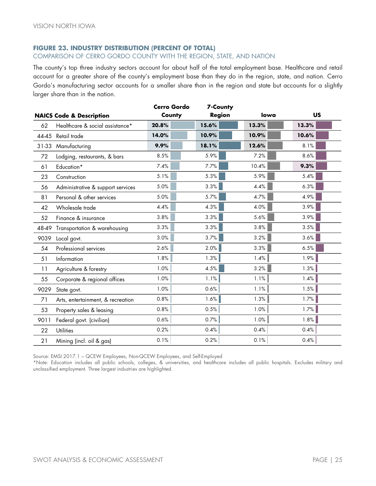#### **FIGURE 23. INDUSTRY DISTRIBUTION (PERCENT OF TOTAL)**

#### COMPARISON OF CERRO GORDO COUNTY WITH THE REGION, STATE, AND NATION

The county's top three industry sectors account for about half of the total employment base. Healthcare and retail account for a greater share of the county's employment base than they do in the region, state, and nation. Cerro Gordo's manufacturing sector accounts for a smaller share than in the region and state but accounts for a slightly larger share than in the nation.

|       | <b>NAICS Code &amp; Description</b> | Cerro Gordo<br>County | <b>7-County</b><br><b>Region</b> | lowa  | <b>US</b> |
|-------|-------------------------------------|-----------------------|----------------------------------|-------|-----------|
| 62    | Healthcare & social assistance*     | 20.8%                 | 15.6%                            | 13.3% | 13.3%     |
|       | 44-45 Retail trade                  | 14.0%                 | 10.9%                            | 10.9% | 10.6%     |
| 31-33 | Manufacturing                       | 9.9%                  | 18.1%                            | 12.6% | 8.1%      |
| 72    | Lodging, restaurants, & bars        | 8.5%                  | 5.9%                             | 7.2%  | 8.6%      |
| 61    | Education*                          | 7.4%                  | 7.7%                             | 10.4% | 9.3%      |
| 23    | Construction                        | 5.1%                  | 5.3%                             | 5.9%  | 5.4%      |
| 56    | Administrative & support services   | 5.0%                  | 3.3%                             | 4.4%  | 6.3%      |
| 81    | Personal & other services           | 5.0%                  | 5.7%                             | 4.7%  | 4.9%      |
| 42    | Wholesale trade                     | 4.4%                  | 4.3%                             | 4.0%  | 3.9%      |
| 52    | Finance & insurance                 | 3.8%                  | 3.3%                             | 5.6%  | 3.9%      |
| 48-49 | Transportation & warehousing        | 3.3%                  | 3.3%                             | 3.8%  | 3.5%      |
| 9039  | Local govt.                         | 3.0%                  | 3.7%                             | 3.2%  | 3.6%      |
| 54    | Professional services               | 2.6%                  | 2.0%                             | 3.3%  | 6.5%      |
| 51    | Information                         | 1.8%                  | 1.3%                             | 1.4%  | 1.9%      |
| 11    | Agriculture & forestry              | 1.0%                  | 4.5%                             | 3.2%  | 1.3%      |
| 55    | Corporate & regional offices        | 1.0%                  | 1.1%                             | 1.1%  | 1.4%      |
| 9029  | State govt.                         | 1.0%                  | 0.6%                             | 1.1%  | 1.5%      |
| 71    | Arts, entertainment, & recreation   | 0.8%                  | 1.6%                             | 1.3%  | 1.7%      |
| 53    | Property sales & leasing            | 0.8%                  | 0.5%                             | 1.0%  | 1.7%      |
| 9011  | Federal govt. (civilian)            | 0.6%                  | 0.7%                             | 1.0%  | 1.8%      |
| 22    | <b>Utilities</b>                    | 0.2%                  | 0.4%                             | 0.4%  | 0.4%      |
| 21    | Mining (incl. oil & gas)            | 0.1%                  | 0.2%                             | 0.1%  | 0.4%      |

Source: EMSI 2017.1 – QCEW Employees, Non-QCEW Employees, and Self-Employed

\*Note: Education includes all public schools, colleges, & universities, and healthcare includes all public hospitals. Excludes military and unclassified employment. Three largest industries are highlighted.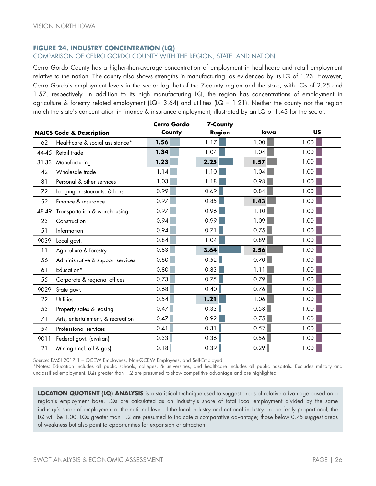#### **FIGURE 24. INDUSTRY CONCENTRATION (LQ)**

#### COMPARISON OF CERRO GORDO COUNTY WITH THE REGION, STATE, AND NATION

Cerro Gordo County has a higher-than-average concentration of employment in healthcare and retail employment relative to the nation. The county also shows strengths in manufacturing, as evidenced by its LQ of 1.23. However, Cerro Gordo's employment levels in the sector lag that of the 7-county region and the state, with LQs of 2.25 and 1.57, respectively. In addition to its high manufacturing LQ, the region has concentrations of employment in agriculture & forestry related employment (LQ= 3.64) and utilities (LQ = 1.21). Neither the county nor the region match the state's concentration in finance & insurance employment, illustrated by an LQ of 1.43 for the sector.

|                                     |                                   | Cerro Gordo             | 7-County |      |           |  |
|-------------------------------------|-----------------------------------|-------------------------|----------|------|-----------|--|
| <b>NAICS Code &amp; Description</b> |                                   | County<br><b>Region</b> |          | lowa | <b>US</b> |  |
| 62                                  | Healthcare & social assistance*   | 1.56                    | 1.17     | 1.00 | 1.00      |  |
|                                     | 44-45 Retail trade                | 1.34                    | 1.04     | 1.04 | 1.00      |  |
| $31 - 33$                           | Manufacturing                     | 1.23                    | 2.25     | 1.57 | 1.00      |  |
| 42                                  | Wholesale trade                   | 1.14                    | 1.10     | 1.04 | 1.00      |  |
| 81                                  | Personal & other services         | 1.03                    | 1.18     | 0.98 | 1.00      |  |
| 72                                  | Lodging, restaurants, & bars      | 0.99                    | 0.69     | 0.84 | 1.00      |  |
| 52                                  | Finance & insurance               | 0.97                    | 0.85     | 1.43 | 1.00      |  |
| 48-49                               | Transportation & warehousing      | 0.97                    | 0.96     | 1.10 | 1.00      |  |
| 23                                  | Construction                      | 0.94                    | 0.99     | 1.09 | 1.00      |  |
| 51                                  | Information                       | 0.94                    | 0.71     | 0.75 | 1.00      |  |
| 9039                                | Local govt.                       | 0.84                    | 1.04     | 0.89 | 1.00      |  |
| 11                                  | Agriculture & forestry            | 0.83                    | 3.64     | 2.56 | 1.00      |  |
| 56                                  | Administrative & support services | 0.80                    | 0.52     | 0.70 | 1.00      |  |
| 61                                  | Education*                        | 0.80                    | 0.83     | 1.11 | 1.00      |  |
| 55                                  | Corporate & regional offices      | 0.73                    | 0.75     | 0.79 | 1.00      |  |
| 9029                                | State govt.                       | 0.68                    | 0.40     | 0.76 | 1.00      |  |
| 22                                  | <b>Utilities</b>                  | 0.54                    | 1.21     | 1.06 | 1.00      |  |
| 53                                  | Property sales & leasing          | 0.47                    | 0.33     | 0.58 | 1.00      |  |
| 71                                  | Arts, entertainment, & recreation | 0.47                    | 0.92     | 0.75 | 1.00      |  |
| 54                                  | Professional services             | 0.41                    | 0.31     | 0.52 | 1.00      |  |
| 9011                                | Federal govt. (civilian)          | 0.33                    | 0.36     | 0.56 | 1.00      |  |
| 21                                  | Mining (incl. oil & gas)          | 0.18                    | 0.39     | 0.29 | 1.00      |  |

Source: EMSI 2017.1 – QCEW Employees, Non-QCEW Employees, and Self-Employed

\*Notes: Education includes all public schools, colleges, & universities, and healthcare includes all public hospitals. Excludes military and unclassified employment. LQs greater than 1.2 are presumed to show competitive advantage and are highlighted.

**LOCATION QUOTIENT (LQ) ANALYSIS** is a statistical technique used to suggest areas of relative advantage based on a region's employment base. LQs are calculated as an industry's share of total local employment divided by the same industry's share of employment at the national level. If the local industry and national industry are perfectly proportional, the LQ will be 1.00. LQs greater than 1.2 are presumed to indicate a comparative advantage; those below 0.75 suggest areas of weakness but also point to opportunities for expansion or attraction.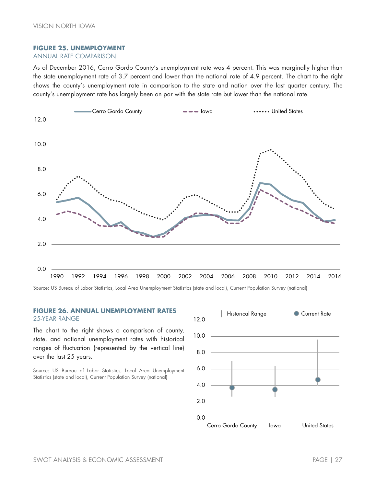#### **FIGURE 25. UNEMPLOYMENT**

#### ANNUAL RATE COMPARISON

As of December 2016, Cerro Gordo County's unemployment rate was 4 percent. This was marginally higher than the state unemployment rate of 3.7 percent and lower than the national rate of 4.9 percent. The chart to the right shows the county's unemployment rate in comparison to the state and nation over the last quarter century. The county's unemployment rate has largely been on par with the state rate but lower than the national rate.



Source: US Bureau of Labor Statistics, Local Area Unemployment Statistics (state and local), Current Population Survey (national)

#### **FIGURE 26. ANNUAL UNEMPLOYMENT RATES** 25-YEAR RANGE

The chart to the right shows a comparison of county, state, and national unemployment rates with historical ranges of fluctuation (represented by the vertical line) over the last 25 years.

Source: US Bureau of Labor Statistics, Local Area Unemployment Statistics (state and local), Current Population Survey (national)

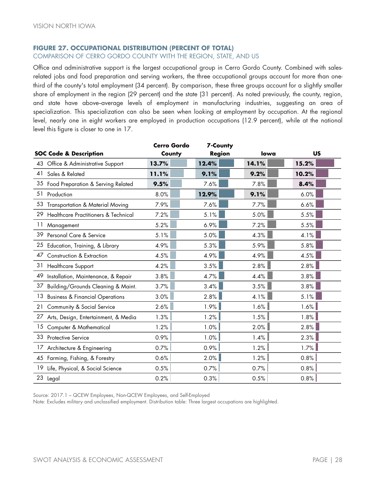#### **FIGURE 27. OCCUPATIONAL DISTRIBUTION (PERCENT OF TOTAL)**

COMPARISON OF CERRO GORDO COUNTY WITH THE REGION, STATE, AND US

Office and administrative support is the largest occupational group in Cerro Gordo County. Combined with salesrelated jobs and food preparation and serving workers, the three occupational groups account for more than onethird of the county's total employment (34 percent). By comparison, these three groups account for a slightly smaller share of employment in the region (29 percent) and the state (31 percent). As noted previously, the county, region, and state have above-average levels of employment in manufacturing industries, suggesting an area of specialization. This specialization can also be seen when looking at employment by occupation. At the regional level, nearly one in eight workers are employed in production occupations (12.9 percent), while at the national level this figure is closer to one in 17.

|    |                                            | <b>Cerro Gordo</b> | 7-County      |       |       |
|----|--------------------------------------------|--------------------|---------------|-------|-------|
|    | <b>SOC Code &amp; Description</b>          | County             | <b>Region</b> | lowa  | US    |
| 43 | Office & Administrative Support            | 13.7%              | 12.4%         | 14.1% | 15.2% |
| 41 | Sales & Related                            | 11.1%              | 9.1%          | 9.2%  | 10.2% |
|    | 35 Food Preparation & Serving Related      | 9.5%               | 7.6%          | 7.8%  | 8.4%  |
| 51 | Production                                 | 8.0%               | 12.9%         | 9.1%  | 6.0%  |
|    | 53 Transportation & Material Moving        | 7.9%               | 7.6%          | 7.7%  | 6.6%  |
| 29 | Healthcare Practitioners & Technical       | 7.2%               | 5.1%          | 5.0%  | 5.5%  |
|    | 11 Management                              | 5.2%               | 6.9%          | 7.2%  | 5.5%  |
|    | 39 Personal Care & Service                 | 5.1%               | 5.0%          | 4.3%  | 4.1%  |
|    | 25 Education, Training, & Library          | 4.9%               | 5.3%          | 5.9%  | 5.8%  |
| 47 | Construction & Extraction                  | 4.5%               | 4.9%          | 4.9%  | 4.5%  |
| 31 | <b>Healthcare Support</b>                  | 4.2%               | 3.5%          | 2.8%  | 2.8%  |
| 49 | Installation, Maintenance, & Repair        | 3.8%               | 4.7%          | 4.4%  | 3.8%  |
| 37 | Building/Grounds Cleaning & Maint.         | 3.7%               | 3.4%          | 3.5%  | 3.8%  |
| 13 | <b>Business &amp; Financial Operations</b> | 3.0%               | 2.8%          | 4.1%  | 5.1%  |
|    | 21 Community & Social Service              | 2.6%               | 1.9%          | 1.6%  | 1.6%  |
| 27 | Arts, Design, Entertainment, & Media       | 1.3%               | 1.2%          | 1.5%  | 1.8%  |
| 15 | Computer & Mathematical                    | 1.2%               | 1.0%          | 2.0%  | 2.8%  |
| 33 | Protective Service                         | 0.9%               | 1.0%          | 1.4%  | 2.3%  |
|    | 17 Architecture & Engineering              | 0.7%               | 0.9%          | 1.2%  | 1.7%  |
|    | 45 Farming, Fishing, & Forestry            | 0.6%               | 2.0%          | 1.2%  | 0.8%  |
|    | 19 Life, Physical, & Social Science        | 0.5%               | 0.7%          | 0.7%  | 0.8%  |
|    | 23 Legal                                   | 0.2%               | 0.3%          | 0.5%  | 0.8%  |

Source: 2017.1 – QCEW Employees, Non-QCEW Employees, and Self-Employed

Note: Excludes military and unclassified employment. Distribution table: Three largest occupations are highlighted.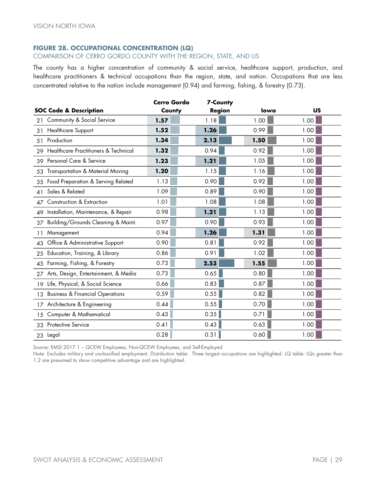#### **FIGURE 28. OCCUPATIONAL CONCENTRATION (LQ)**

#### COMPARISON OF CERRO GORDO COUNTY WITH THE REGION, STATE, AND US

The county has a higher concentration of community & social service, healthcare support, production, and healthcare practitioners & technical occupations than the region, state, and nation. Occupations that are less concentrated relative to the nation include management (0.94) and farming, fishing, & forestry (0.73).

|                                                  | Cerro Gordo | 7-County      |      |      |
|--------------------------------------------------|-------------|---------------|------|------|
| <b>SOC Code &amp; Description</b>                | County      | <b>Region</b> | lowa | US   |
| Community & Social Service<br>21                 | 1.57        | 1.18          | 1.00 | 1.00 |
| <b>Healthcare Support</b><br>31                  | 1.52        | 1.26          | 0.99 | 1.00 |
| Production<br>51                                 | 1.34        | 2.13          | 1.50 | 1.00 |
| Healthcare Practitioners & Technical<br>29       | 1.32        | 0.94          | 0.92 | 1.00 |
| Personal Care & Service<br>39                    | 1.23        | 1.21          | 1.05 | 1.00 |
| Transportation & Material Moving<br>53           | 1.20        | 1.15          | 1.16 | 1.00 |
| Food Preparation & Serving Related<br>35         | 1.13        | 0.90          | 0.92 | 1.00 |
| Sales & Related<br>41                            | 1.09        | 0.89          | 0.90 | 1.00 |
| Construction & Extraction<br>47                  | 1.01        | 1.08          | 1.08 | 1.00 |
| Installation, Maintenance, & Repair<br>49        | 0.98        | 1.21          | 1.13 | 1.00 |
| Building/Grounds Cleaning & Maint.<br>37         | 0.97        | 0.90          | 0.93 | 1.00 |
| Management<br>11                                 | 0.94        | 1.26          | 1.31 | 1.00 |
| 43 Office & Administrative Support               | 0.90        | 0.81          | 0.92 | 1.00 |
| Education, Training, & Library<br>25             | 0.86        | 0.91          | 1.02 | 1.00 |
| 45 Farming, Fishing, & Forestry                  | 0.73        | 2.53          | 1.55 | 1.00 |
| Arts, Design, Entertainment, & Media<br>27       | 0.73        | 0.65          | 0.80 | 1.00 |
| Life, Physical, & Social Science<br>19           | 0.66        | 0.83          | 0.87 | 1.00 |
| <b>Business &amp; Financial Operations</b><br>13 | 0.59        | 0.55          | 0.82 | 1.00 |
| 17 Architecture & Engineering                    | 0.44        | 0.55          | 0.70 | 1.00 |
| Computer & Mathematical<br>15                    | 0.43        | 0.35          | 0.71 | 1.00 |
| <b>Protective Service</b><br>33                  | 0.41        | 0.43          | 0.63 | 1.00 |
| 23 Legal                                         | 0.28        | 0.31          | 0.60 | 1.00 |

Source: EMSI 2017.1 – QCEW Employees, Non-QCEW Employees, and Self-Employed

Note: Excludes military and unclassified employment. Distribution table: Three largest occupations are highlighted. LQ table: LQs greater than 1.2 are presumed to show competitive advantage and are highlighted.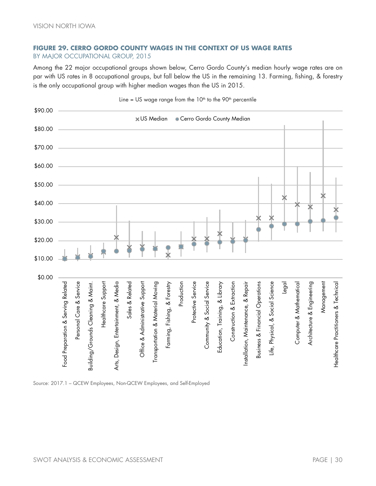#### **FIGURE 29. CERRO GORDO COUNTY WAGES IN THE CONTEXT OF US WAGE RATES** BY MAJOR OCCUPATIONAL GROUP, 2015

Among the 22 major occupational groups shown below, Cerro Gordo County's median hourly wage rates are on par with US rates in 8 occupational groups, but fall below the US in the remaining 13. Farming, fishing, & forestry is the only occupational group with higher median wages than the US in 2015.



Source: 2017.1 – QCEW Employees, Non-QCEW Employees, and Self-Employed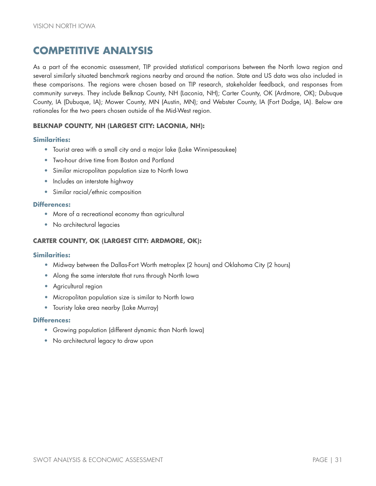## <span id="page-34-0"></span>**COMPETITIVE ANALYSIS**

As a part of the economic assessment, TIP provided statistical comparisons between the North Iowa region and several similarly situated benchmark regions nearby and around the nation. State and US data was also included in these comparisons. The regions were chosen based on TIP research, stakeholder feedback, and responses from community surveys. They include Belknap County, NH (Laconia, NH); Carter County, OK (Ardmore, OK); Dubuque County, IA (Dubuque, IA); Mower County, MN (Austin, MN); and Webster County, IA (Fort Dodge, IA). Below are rationales for the two peers chosen outside of the Mid-West region.

#### **BELKNAP COUNTY, NH (LARGEST CITY: LACONIA, NH):**

#### **Similarities:**

- Tourist area with a small city and a major lake (Lake Winnipesaukee)
- Two-hour drive time from Boston and Portland
- Similar micropolitan population size to North Iowa
- Includes an interstate highway
- Similar racial/ethnic composition

#### **Differences:**

- More of a recreational economy than agricultural
- No architectural legacies

#### **CARTER COUNTY, OK (LARGEST CITY: ARDMORE, OK):**

#### **Similarities:**

- **•** Midway between the Dallas-Fort Worth metroplex (2 hours) and Oklahoma City (2 hours)
- **•** Along the same interstate that runs through North Iowa
- **•** Agricultural region
- **•** Micropolitan population size is similar to North Iowa
- Touristy lake area nearby (Lake Murray)

#### **Differences:**

- Growing population (different dynamic than North Iowa)
- No architectural legacy to draw upon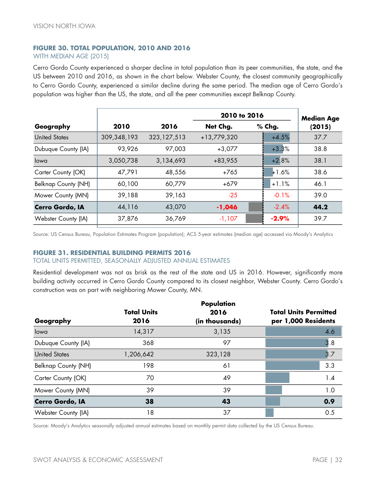#### **FIGURE 30. TOTAL POPULATION, 2010 AND 2016** WITH MEDIAN AGE (2015)

Cerro Gordo County experienced a sharper decline in total population than its peer communities, the state, and the US between 2010 and 2016, as shown in the chart below. Webster County, the closest community geographically to Cerro Gordo County, experienced a similar decline during the same period. The median age of Cerro Gordo's population was higher than the US, the state, and all the peer communities except Belknap County.

|               |               | <b>Median Age</b> |         |              |
|---------------|---------------|-------------------|---------|--------------|
| 2010          | 2016          | Net Chg.          | % Chg.  | (2015)       |
| 309, 348, 193 | 323, 127, 513 | +13,779,320       | $+4.5%$ | 37.7         |
| 93,926        | 97,003        | $+3,077$          | $+3.3%$ | 38.8         |
| 3,050,738     | 3,134,693     | +83,955           | $+2.8%$ | 38.1         |
| 47,791        | 48,556        | $+765$            | $+1.6%$ | 38.6         |
| 60,100        | 60,779        | $+679$            | $+1.1%$ | 46.1         |
| 39,188        | 39,163        | $-25$             | $-0.1%$ | 39.0         |
| 44,116        | 43,070        | $-1,046$          | $-2.4%$ | 44.2         |
| 37,876        | 36,769        | $-1,107$          | $-2.9%$ | 39.7         |
|               |               |                   |         | 2010 to 2016 |

Source: US Census Bureau, Population Estimates Program (population); ACS 5-year estimates (median age) accessed via Moody's Analytics

#### **FIGURE 31. RESIDENTIAL BUILDING PERMITS 2016**

#### TOTAL UNITS PERMITTED, SEASONALLY ADJUSTED ANNUAL ESTIMATES

Residential development was not as brisk as the rest of the state and US in 2016. However, significantly more building activity occurred in Cerro Gordo County compared to its closest neighbor, Webster County. Cerro Gordo's construction was on part with neighboring Mower County, MN.

|                            |                    | Population     |                              |
|----------------------------|--------------------|----------------|------------------------------|
|                            | <b>Total Units</b> | 2016           | <b>Total Units Permitted</b> |
| Geography                  | 2016               | (in thousands) | per 1,000 Residents          |
| lowa                       | 14,317             | 3,135          | 4.6                          |
| Dubuque County (IA)        | 368                | 97             | 3.8                          |
| <b>United States</b>       | 1,206,642          | 323,128        | 3.7                          |
| <b>Belknap County (NH)</b> | 198                | 61             | 3.3                          |
| Carter County (OK)         | 70                 | 49             | 1.4                          |
| Mower County (MN)          | 39                 | 39             | 1.0                          |
| Cerro Gordo, IA            | 38                 | 43             | 0.9                          |
| Webster County (IA)        | 18                 | 37             | 0.5                          |

Source: Moody's Analytics seasonally adjusted annual estimates based on monthly permit data collected by the US Census Bureau.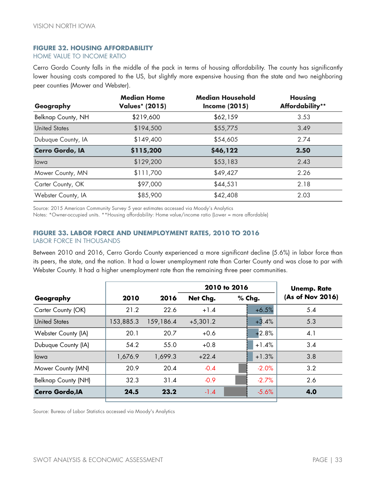#### **FIGURE 32. HOUSING AFFORDABILITY**

HOME VALUE TO INCOME RATIO

Cerro Gordo County falls in the middle of the pack in terms of housing affordability. The county has significantly lower housing costs compared to the US, but slightly more expensive housing than the state and two neighboring peer counties (Mower and Webster).

| Geography              | <b>Median Home</b><br><b>Values* (2015)</b> | <b>Median Household</b><br><b>Income (2015)</b> | <b>Housing</b><br>Affordability** |
|------------------------|---------------------------------------------|-------------------------------------------------|-----------------------------------|
| Belknap County, NH     | \$219,600                                   | \$62,159                                        | 3.53                              |
| <b>United States</b>   | \$194,500                                   | \$55,775                                        | 3.49                              |
| Dubuque County, IA     | \$149,400                                   | \$54,605                                        | 2.74                              |
| <b>Cerro Gordo, IA</b> | \$115,200                                   | \$46,122                                        | 2.50                              |
| lowa                   | \$129,200                                   | \$53,183                                        | 2.43                              |
| Mower County, MN       | \$111,700                                   | \$49,427                                        | 2.26                              |
| Carter County, OK      | \$97,000                                    | \$44,531                                        | 2.18                              |
| Webster County, IA     | \$85,900                                    | \$42,408                                        | 2.03                              |

Source: 2015 American Community Survey 5 year estimates accessed via Moody's Analytics

Notes: \*Owner-occupied units. \*\*Housing affordability: Home value/income ratio (Lower = more affordable)

#### **FIGURE 33. LABOR FORCE AND UNEMPLOYMENT RATES, 2010 TO 2016**

LABOR FORCE IN THOUSANDS

Between 2010 and 2016, Cerro Gordo County experienced a more significant decline (5.6%) in labor force than its peers, the state, and the nation. It had a lower unemployment rate than Carter County and was close to par with Webster County. It had a higher unemployment rate than the remaining three peer communities.

|                        |           |           |            | 2010 to 2016 |         | <b>Unemp. Rate</b> |
|------------------------|-----------|-----------|------------|--------------|---------|--------------------|
| Geography              | 2010      | 2016      | Net Chg.   | $%$ Chg.     |         | (As of Nov 2016)   |
| Carter County (OK)     | 21.2      | 22.6      | $+1.4$     |              | $+6.5%$ | 5.4                |
| <b>United States</b>   | 153,885.3 | 159,186.4 | $+5,301.2$ |              | $+3.4%$ | 5.3                |
| Webster County (IA)    | 20.1      | 20.7      | $+0.6$     |              | $+2.8%$ | $\mathbf{4}$ .     |
| Dubuque County (IA)    | 54.2      | 55.0      | $+0.8$     |              | $+1.4%$ | 3.4                |
| lowa                   | 1,676.9   | 1,699.3   | $+22.4$    |              | $+1.3%$ | 3.8                |
| Mower County (MN)      | 20.9      | 20.4      | $-0.4$     |              | $-2.0%$ | 3.2                |
| Belknap County (NH)    | 32.3      | 31.4      | $-0.9$     |              | $-2.7%$ | 2.6                |
| <b>Cerro Gordo, IA</b> | 24.5      | 23.2      | $-1.4$     |              | $-5.6%$ | 4.0                |

Source: Bureau of Labor Statistics accessed via Moody's Analytics